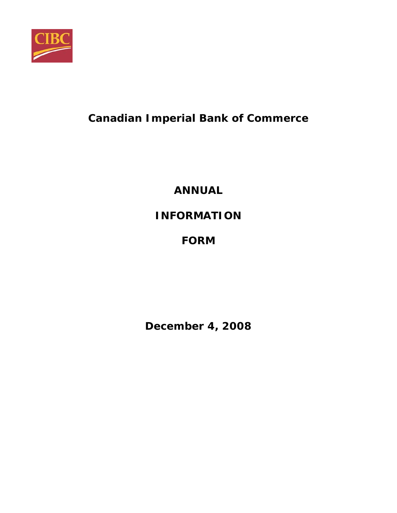

# **Canadian Imperial Bank of Commerce**

**ANNUAL** 

**INFORMATION** 

# **FORM**

**December 4, 2008**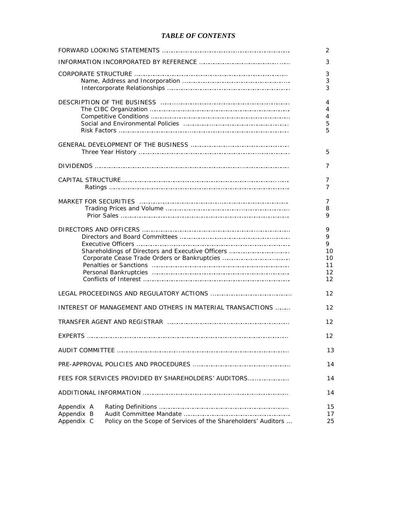# *TABLE OF CONTENTS*

|                                                                                                         | 2                                         |
|---------------------------------------------------------------------------------------------------------|-------------------------------------------|
|                                                                                                         | 3                                         |
|                                                                                                         | 3<br>3<br>3                               |
|                                                                                                         | 4<br>4<br>4<br>5<br>5                     |
|                                                                                                         | 5                                         |
|                                                                                                         | 7                                         |
|                                                                                                         | 7<br>7                                    |
|                                                                                                         | 7<br>8<br>9                               |
|                                                                                                         | 9<br>9<br>9<br>10<br>10<br>11<br>12<br>12 |
|                                                                                                         | 12                                        |
| INTEREST OF MANAGEMENT AND OTHERS IN MATERIAL TRANSACTIONS                                              | 12                                        |
|                                                                                                         | 12                                        |
| <b>FXPERTS</b>                                                                                          | 12                                        |
|                                                                                                         | 13                                        |
|                                                                                                         | 14                                        |
| FEES FOR SERVICES PROVIDED BY SHAREHOLDERS' AUDITORS                                                    | 14                                        |
|                                                                                                         | 14                                        |
| Appendix A<br>Appendix B<br>Appendix C<br>Policy on the Scope of Services of the Shareholders' Auditors | 15<br>17<br>25                            |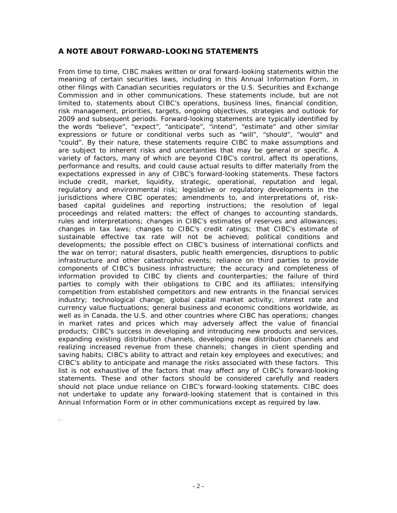# **A NOTE ABOUT FORWARD-LOOKING STATEMENTS**

From time to time, CIBC makes written or oral forward-looking statements within the meaning of certain securities laws, including in this Annual Information Form, in other filings with Canadian securities regulators or the U.S. Securities and Exchange Commission and in other communications. These statements include, but are not limited to, statements about CIBC's operations, business lines, financial condition, risk management, priorities, targets, ongoing objectives, strategies and outlook for 2009 and subsequent periods. Forward-looking statements are typically identified by the words "believe", "expect", "anticipate", "intend", "estimate" and other similar expressions or future or conditional verbs such as "will", "should", "would" and "could". By their nature, these statements require CIBC to make assumptions and are subject to inherent risks and uncertainties that may be general or specific. A variety of factors, many of which are beyond CIBC's control, affect its operations, performance and results, and could cause actual results to differ materially from the expectations expressed in any of CIBC's forward-looking statements. These factors include credit, market, liquidity, strategic, operational, reputation and legal, regulatory and environmental risk; legislative or regulatory developments in the jurisdictions where CIBC operates; amendments to, and interpretations of, riskbased capital guidelines and reporting instructions; the resolution of legal proceedings and related matters; the effect of changes to accounting standards, rules and interpretations; changes in CIBC's estimates of reserves and allowances; changes in tax laws; changes to CIBC's credit ratings; that CIBC's estimate of sustainable effective tax rate will not be achieved; political conditions and developments; the possible effect on CIBC's business of international conflicts and the war on terror; natural disasters, public health emergencies, disruptions to public infrastructure and other catastrophic events; reliance on third parties to provide components of CIBC's business infrastructure; the accuracy and completeness of information provided to CIBC by clients and counterparties; the failure of third parties to comply with their obligations to CIBC and its affiliates; intensifying competition from established competitors and new entrants in the financial services industry; technological change; global capital market activity; interest rate and currency value fluctuations; general business and economic conditions worldwide, as well as in Canada, the U.S. and other countries where CIBC has operations; changes in market rates and prices which may adversely affect the value of financial products; CIBC's success in developing and introducing new products and services, expanding existing distribution channels, developing new distribution channels and realizing increased revenue from these channels; changes in client spending and saving habits; CIBC's ability to attract and retain key employees and executives; and CIBC's ability to anticipate and manage the risks associated with these factors. This list is not exhaustive of the factors that may affect any of CIBC's forward-looking statements. These and other factors should be considered carefully and readers should not place undue reliance on CIBC's forward-looking statements. CIBC does not undertake to update any forward-looking statement that is contained in this Annual Information Form or in other communications except as required by law.

.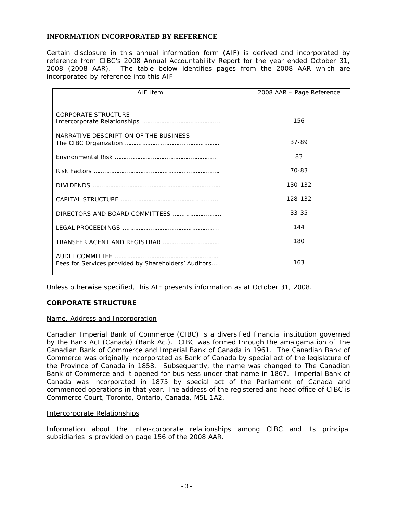# **INFORMATION INCORPORATED BY REFERENCE**

Certain disclosure in this annual information form (AIF) is derived and incorporated by reference from CIBC's 2008 Annual Accountability Report for the year ended October 31, 2008 (2008 AAR). The table below identifies pages from the 2008 AAR which are incorporated by reference into this AIF.

| AIF Item                                             | 2008 AAR - Page Reference |
|------------------------------------------------------|---------------------------|
| <b>CORPORATE STRUCTURE</b>                           | 156                       |
| NARRATIVE DESCRIPTION OF THE BUSINESS                | 37-89                     |
|                                                      | 83                        |
|                                                      | 70-83                     |
|                                                      | 130-132                   |
|                                                      | 128-132                   |
|                                                      | $33 - 35$                 |
|                                                      | 144                       |
| TRANSFER AGENT AND REGISTRAR                         | 180                       |
| Fees for Services provided by Shareholders' Auditors | 163                       |

Unless otherwise specified, this AIF presents information as at October 31, 2008.

# **CORPORATE STRUCTURE**

# Name, Address and Incorporation

Canadian Imperial Bank of Commerce (CIBC) is a diversified financial institution governed by the *Bank Act* (Canada) (Bank Act). CIBC was formed through the amalgamation of The Canadian Bank of Commerce and Imperial Bank of Canada in 1961. The Canadian Bank of Commerce was originally incorporated as Bank of Canada by special act of the legislature of the Province of Canada in 1858. Subsequently, the name was changed to The Canadian Bank of Commerce and it opened for business under that name in 1867. Imperial Bank of Canada was incorporated in 1875 by special act of the Parliament of Canada and commenced operations in that year. The address of the registered and head office of CIBC is Commerce Court, Toronto, Ontario, Canada, M5L 1A2.

# Intercorporate Relationships

Information about the inter-corporate relationships among CIBC and its principal subsidiaries is provided on page 156 of the 2008 AAR.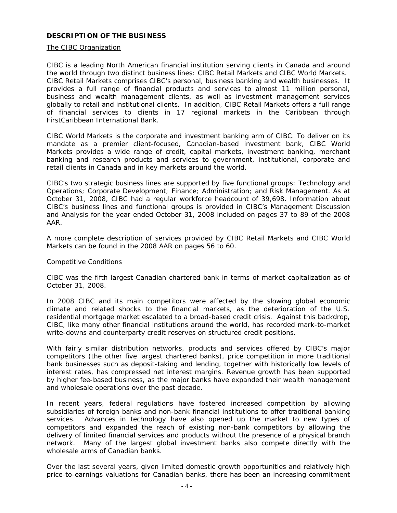# **DESCRIPTION OF THE BUSINESS**

# The CIBC Organization

CIBC is a leading North American financial institution serving clients in Canada and around the world through two distinct business lines: CIBC Retail Markets and CIBC World Markets. CIBC Retail Markets comprises CIBC's personal, business banking and wealth businesses. It provides a full range of financial products and services to almost 11 million personal, business and wealth management clients, as well as investment management services globally to retail and institutional clients. In addition, CIBC Retail Markets offers a full range of financial services to clients in 17 regional markets in the Caribbean through FirstCaribbean International Bank.

CIBC World Markets is the corporate and investment banking arm of CIBC. To deliver on its mandate as a premier client-focused, Canadian-based investment bank, CIBC World Markets provides a wide range of credit, capital markets, investment banking, merchant banking and research products and services to government, institutional, corporate and retail clients in Canada and in key markets around the world.

CIBC's two strategic business lines are supported by five functional groups: Technology and Operations; Corporate Development; Finance; Administration; and Risk Management. As at October 31, 2008, CIBC had a regular workforce headcount of 39,698. Information about CIBC's business lines and functional groups is provided in CIBC's Management Discussion and Analysis for the year ended October 31, 2008 included on pages 37 to 89 of the 2008 AAR.

A more complete description of services provided by CIBC Retail Markets and CIBC World Markets can be found in the 2008 AAR on pages 56 to 60.

#### Competitive Conditions

CIBC was the fifth largest Canadian chartered bank in terms of market capitalization as of October 31, 2008.

In 2008 CIBC and its main competitors were affected by the slowing global economic climate and related shocks to the financial markets, as the deterioration of the U.S. residential mortgage market escalated to a broad-based credit crisis. Against this backdrop, CIBC, like many other financial institutions around the world, has recorded mark-to-market write-downs and counterparty credit reserves on structured credit positions.

With fairly similar distribution networks, products and services offered by CIBC's major competitors (the other five largest chartered banks), price competition in more traditional bank businesses such as deposit-taking and lending, together with historically low levels of interest rates, has compressed net interest margins. Revenue growth has been supported by higher fee-based business, as the major banks have expanded their wealth management and wholesale operations over the past decade.

In recent years, federal regulations have fostered increased competition by allowing subsidiaries of foreign banks and non-bank financial institutions to offer traditional banking services. Advances in technology have also opened up the market to new types of competitors and expanded the reach of existing non-bank competitors by allowing the delivery of limited financial services and products without the presence of a physical branch network. Many of the largest global investment banks also compete directly with the wholesale arms of Canadian banks.

Over the last several years, given limited domestic growth opportunities and relatively high price-to-earnings valuations for Canadian banks, there has been an increasing commitment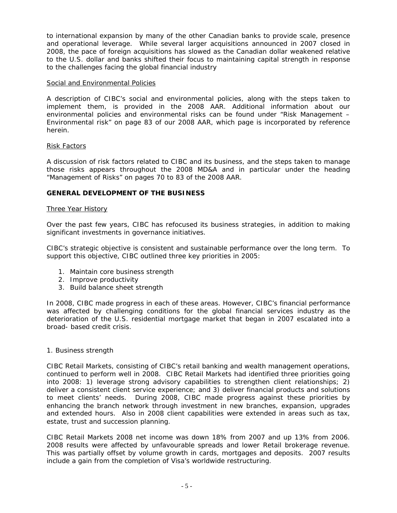to international expansion by many of the other Canadian banks to provide scale, presence and operational leverage. While several larger acquisitions announced in 2007 closed in 2008, the pace of foreign acquisitions has slowed as the Canadian dollar weakened relative to the U.S. dollar and banks shifted their focus to maintaining capital strength in response to the challenges facing the global financial industry

# Social and Environmental Policies

A description of CIBC's social and environmental policies, along with the steps taken to implement them, is provided in the 2008 AAR. Additional information about our environmental policies and environmental risks can be found under "Risk Management – Environmental risk" on page 83 of our 2008 AAR, which page is incorporated by reference herein.

# Risk Factors

A discussion of risk factors related to CIBC and its business, and the steps taken to manage those risks appears throughout the 2008 MD&A and in particular under the heading "Management of Risks" on pages 70 to 83 of the 2008 AAR.

# **GENERAL DEVELOPMENT OF THE BUSINESS**

#### Three Year History

Over the past few years, CIBC has refocused its business strategies, in addition to making significant investments in governance initiatives.

CIBC's strategic objective is consistent and sustainable performance over the long term. To support this objective, CIBC outlined three key priorities in 2005:

- 1. Maintain core business strength
- 2. Improve productivity
- 3. Build balance sheet strength

In 2008, CIBC made progress in each of these areas. However, CIBC's financial performance was affected by challenging conditions for the global financial services industry as the deterioration of the U.S. residential mortgage market that began in 2007 escalated into a broad- based credit crisis.

#### 1. Business strength

CIBC Retail Markets, consisting of CIBC's retail banking and wealth management operations, continued to perform well in 2008. CIBC Retail Markets had identified three priorities going into 2008: 1) leverage strong advisory capabilities to strengthen client relationships; 2) deliver a consistent client service experience; and 3) deliver financial products and solutions to meet clients' needs. During 2008, CIBC made progress against these priorities by enhancing the branch network through investment in new branches, expansion, upgrades and extended hours. Also in 2008 client capabilities were extended in areas such as tax, estate, trust and succession planning.

CIBC Retail Markets 2008 net income was down 18% from 2007 and up 13% from 2006. 2008 results were affected by unfavourable spreads and lower Retail brokerage revenue. This was partially offset by volume growth in cards, mortgages and deposits. 2007 results include a gain from the completion of Visa's worldwide restructuring.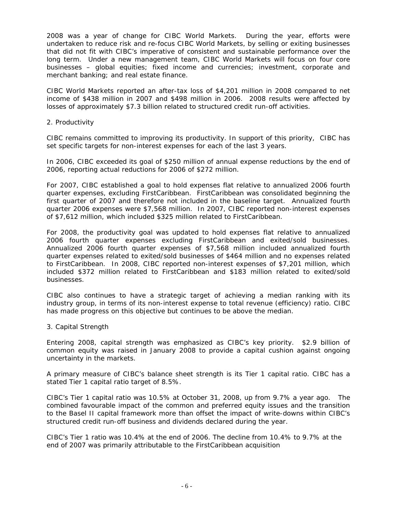2008 was a year of change for CIBC World Markets. During the year, efforts were undertaken to reduce risk and re-focus CIBC World Markets, by selling or exiting businesses that did not fit with CIBC's imperative of consistent and sustainable performance over the long term. Under a new management team, CIBC World Markets will focus on four core businesses – global equities; fixed income and currencies; investment, corporate and merchant banking; and real estate finance.

CIBC World Markets reported an after-tax loss of \$4,201 million in 2008 compared to net income of \$438 million in 2007 and \$498 million in 2006. 2008 results were affected by losses of approximately \$7.3 billion related to structured credit run-off activities.

# 2. Productivity

CIBC remains committed to improving its productivity. In support of this priority, CIBC has set specific targets for non-interest expenses for each of the last 3 years.

In 2006, CIBC exceeded its goal of \$250 million of annual expense reductions by the end of 2006, reporting actual reductions for 2006 of \$272 million.

For 2007, CIBC established a goal to hold expenses flat relative to annualized 2006 fourth quarter expenses, excluding FirstCaribbean. FirstCaribbean was consolidated beginning the first quarter of 2007 and therefore not included in the baseline target. Annualized fourth quarter 2006 expenses were \$7,568 million. In 2007, CIBC reported non-interest expenses of \$7,612 million, which included \$325 million related to FirstCaribbean.

For 2008, the productivity goal was updated to hold expenses flat relative to annualized 2006 fourth quarter expenses excluding FirstCaribbean and exited/sold businesses. Annualized 2006 fourth quarter expenses of \$7,568 million included annualized fourth quarter expenses related to exited/sold businesses of \$464 million and no expenses related to FirstCaribbean. In 2008, CIBC reported non-interest expenses of \$7,201 million, which included \$372 million related to FirstCaribbean and \$183 million related to exited/sold businesses.

CIBC also continues to have a strategic target of achieving a median ranking with its industry group, in terms of its non-interest expense to total revenue (efficiency) ratio. CIBC has made progress on this objective but continues to be above the median.

#### 3. Capital Strength

Entering 2008, capital strength was emphasized as CIBC's key priority. \$2.9 billion of common equity was raised in January 2008 to provide a capital cushion against ongoing uncertainty in the markets.

A primary measure of CIBC's balance sheet strength is its Tier 1 capital ratio. CIBC has a stated Tier 1 capital ratio target of 8.5%.

CIBC's Tier 1 capital ratio was 10.5% at October 31, 2008, up from 9.7% a year ago. The combined favourable impact of the common and preferred equity issues and the transition to the Basel II capital framework more than offset the impact of write-downs within CIBC's structured credit run-off business and dividends declared during the year.

CIBC's Tier 1 ratio was 10.4% at the end of 2006. The decline from 10.4% to 9.7% at the end of 2007 was primarily attributable to the FirstCaribbean acquisition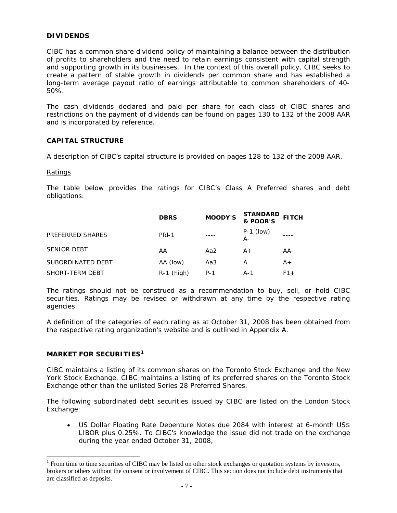# **DIVIDENDS**

CIBC has a common share dividend policy of maintaining a balance between the distribution of profits to shareholders and the need to retain earnings consistent with capital strength and supporting growth in its businesses. In the context of this overall policy, CIBC seeks to create a pattern of stable growth in dividends per common share and has established a long-term average payout ratio of earnings attributable to common shareholders of 40- 50%.

The cash dividends declared and paid per share for each class of CIBC shares and restrictions on the payment of dividends can be found on pages 130 to 132 of the 2008 AAR and is incorporated by reference.

# **CAPITAL STRUCTURE**

A description of CIBC's capital structure is provided on pages 128 to 132 of the 2008 AAR.

#### Ratings

The table below provides the ratings for CIBC's Class A Preferred shares and debt obligations:

|                    | <b>DBRS</b>  | <b>MOODY'S</b> | <b>STANDARD</b><br>& POOR'S | <b>FITCH</b> |
|--------------------|--------------|----------------|-----------------------------|--------------|
| PREFERRED SHARES   | Pfd-1        |                | $P-1$ (low)<br>А-           |              |
| <b>SENIOR DEBT</b> | AA           | Aa2            | $A+$                        | AA-          |
| SUBORDINATED DEBT  | AA (low)     | Aa3            | А                           | $A+$         |
| SHORT-TERM DEBT    | $R-1$ (high) | $P-1$          | A-1                         | $F1+$        |

The ratings should not be construed as a recommendation to buy, sell, or hold CIBC securities. Ratings may be revised or withdrawn at any time by the respective rating agencies.

A definition of the categories of each rating as at October 31, 2008 has been obtained from the respective rating organization's website and is outlined in Appendix A.

# **MARKET FOR SECURITIES[1](#page-7-0)**

CIBC maintains a listing of its common shares on the Toronto Stock Exchange and the New York Stock Exchange. CIBC maintains a listing of its preferred shares on the Toronto Stock Exchange other than the unlisted Series 28 Preferred Shares.

The following subordinated debt securities issued by CIBC are listed on the London Stock Exchange:

• US Dollar Floating Rate Debenture Notes due 2084 with interest at 6-month US\$ LIBOR plus 0.25%. To CIBC's knowledge the issue did not trade on the exchange during the year ended October 31, 2008,

<span id="page-7-0"></span> $\overline{a}$  $1$  From time to time securities of CIBC may be listed on other stock exchanges or quotation systems by investors, brokers or others without the consent or involvement of CIBC. This section does not include debt instruments that are classified as deposits.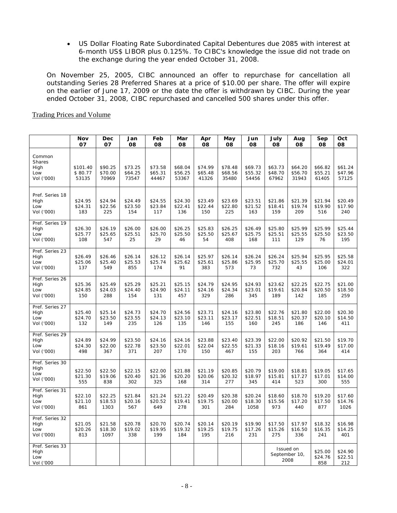• US Dollar Floating Rate Subordinated Capital Debentures due 2085 with interest at 6-month US\$ LIBOR plus 0.125%. To CIBC's knowledge the issue did not trade on the exchange during the year ended October 31, 2008.

On November 25, 2005, CIBC announced an offer to repurchase for cancellation all outstanding Series 28 Preferred Shares at a price of \$10.00 per share. The offer will expire on the earlier of June 17, 2009 or the date the offer is withdrawn by CIBC. During the year ended October 31, 2008, CIBC repurchased and cancelled 500 shares under this offer.

|                                               | Nov<br>07                    | Dec<br>07                   | Jan<br>08                   | Feb<br>08                   | Mar<br>08                   | Apr<br>08                   | May<br>80                   | Jun<br>08                   | July<br>08                  | Aug<br>80                   | Sep<br>80                   | Oct<br>08                   |
|-----------------------------------------------|------------------------------|-----------------------------|-----------------------------|-----------------------------|-----------------------------|-----------------------------|-----------------------------|-----------------------------|-----------------------------|-----------------------------|-----------------------------|-----------------------------|
| Common<br>Shares<br>High<br>Low<br>Vol ('000) | \$101.40<br>\$80.77<br>53135 | \$90.25<br>\$70.00<br>70969 | \$73.25<br>\$64.25<br>73547 | \$73.58<br>\$65.31<br>44467 | \$68.04<br>\$56.25<br>53367 | \$74.99<br>\$65.48<br>41326 | \$78.48<br>\$68.56<br>35480 | \$69.73<br>\$55.32<br>54456 | \$63.73<br>\$48.70<br>67962 | \$64.20<br>\$56.70<br>31943 | \$66.82<br>\$55.21<br>61405 | \$61.24<br>\$47.96<br>57125 |
| Pref. Series 18<br>High<br>Low<br>Vol ('000)  | \$24.95<br>\$24.31<br>183    | \$24.94<br>\$22.56<br>225   | \$24.49<br>\$23.50<br>154   | \$24.55<br>\$23.84<br>117   | \$24.30<br>\$22.41<br>136   | \$23.49<br>\$22.44<br>150   | \$23.69<br>\$22.80<br>225   | \$23.51<br>\$21.52<br>163   | \$21.86<br>\$18.41<br>159   | \$21.39<br>\$19.74<br>209   | \$21.94<br>\$19.90<br>516   | \$20.49<br>\$17.90<br>240   |
| Pref. Series 19<br>High<br>Low<br>Vol ('000)  | \$26.30<br>\$25.77<br>108    | \$26.19<br>\$25.65<br>547   | \$26.00<br>\$25.51<br>25    | \$26.00<br>\$25.70<br>29    | \$26.25<br>\$25.50<br>46    | \$25.83<br>\$25.50<br>54    | \$26.25<br>\$25.67<br>408   | \$26.49<br>\$25.75<br>168   | \$25.80<br>\$25.51<br>111   | \$25.99<br>\$25.55<br>129   | \$25.99<br>\$25.50<br>76    | \$25.44<br>\$23.50<br>195   |
| Pref. Series 23<br>High<br>Low<br>Vol ('000)  | \$26.49<br>\$25.06<br>137    | \$26.46<br>\$25.40<br>549   | \$26.14<br>\$25.53<br>855   | \$26.12<br>\$25.74<br>174   | \$26.14<br>\$25.62<br>91    | \$25.97<br>\$25.61<br>383   | \$26.14<br>\$25.86<br>573   | \$26.24<br>\$25.95<br>73    | \$26.24<br>\$25.70<br>732   | \$25.94<br>\$25.55<br>43    | \$25.95<br>\$25.00<br>106   | \$25.58<br>\$24.01<br>322   |
| Pref. Series 26<br>High<br>Low<br>Vol ('000)  | \$25.36<br>\$24.85<br>150    | \$25.49<br>\$24.03<br>288   | \$25.29<br>\$24.40<br>154   | \$25.21<br>\$24.90<br>131   | \$25.15<br>\$24.11<br>457   | \$24.79<br>\$24.16<br>329   | \$24.95<br>\$24.34<br>286   | \$24.93<br>\$23.01<br>345   | \$23.62<br>\$19.61<br>189   | \$22.25<br>\$20.84<br>142   | \$22.75<br>\$20.50<br>185   | \$21.00<br>\$18.50<br>259   |
| Pref. Series 27<br>High<br>Low<br>Vol ('000)  | \$25.40<br>\$24.70<br>132    | \$25.14<br>\$23.50<br>149   | \$24.73<br>\$23.55<br>235   | \$24.70<br>\$24.13<br>126   | \$24.56<br>\$23.10<br>135   | \$23.71<br>\$23.11<br>146   | \$24.16<br>\$23.17<br>155   | \$23.80<br>\$22.51<br>160   | \$22.76<br>\$18.51<br>245   | \$21.80<br>\$20.37<br>186   | \$22.00<br>\$20.10<br>146   | \$20.30<br>\$14.50<br>411   |
| Pref. Series 29<br>High<br>Low<br>Vol ('000)  | \$24.89<br>\$24.30<br>498    | \$24.99<br>\$22.00<br>367   | \$23.50<br>\$22.78<br>371   | \$24.16<br>\$23.50<br>207   | \$24.16<br>\$22.01<br>170   | \$23.88<br>\$22.04<br>150   | \$23.40<br>\$22.55<br>467   | \$23.39<br>\$21.33<br>155   | \$22.00<br>\$18.16<br>203   | \$20.92<br>\$19.61<br>766   | \$21.50<br>\$19.49<br>364   | \$19.70<br>\$17.00<br>414   |
| Pref. Series 30<br>High<br>Low<br>Vol ('000)  | \$22.50<br>\$21.30<br>555    | \$22.50<br>\$19.06<br>838   | \$22.15<br>\$20.40<br>302   | \$22.00<br>\$21.36<br>325   | \$21.88<br>\$20.20<br>168   | \$21.19<br>\$20.06<br>314   | \$20.85<br>\$20.32<br>277   | \$20.79<br>\$18.97<br>345   | \$19.00<br>\$15.81<br>414   | \$18.81<br>\$17.27<br>523   | \$19.05<br>\$17.01<br>300   | \$17.65<br>\$14.00<br>555   |
| Pref. Series 31<br>High<br>Low<br>Vol ('000)  | \$22.10<br>\$21.10<br>861    | \$22.25<br>\$18.53<br>1303  | \$21.84<br>\$20.16<br>567   | \$21.24<br>\$20.52<br>649   | \$21.22<br>\$19.41<br>278   | \$20.49<br>\$19.75<br>301   | \$20.38<br>\$20.00<br>284   | \$20.24<br>\$18.30<br>1058  | \$18.60<br>\$15.56<br>973   | \$18.70<br>\$17.20<br>440   | \$19.20<br>\$17.50<br>877   | \$17.60<br>\$14.76<br>1026  |
| Pref. Series 32<br>High<br>Low<br>Vol ('000)  | \$21.05<br>\$20.26<br>813    | \$21.58<br>\$18.30<br>1097  | \$20.78<br>\$19.02<br>338   | \$20.70<br>\$19.95<br>199   | \$20.74<br>\$19.32<br>184   | \$20.14<br>\$19.25<br>195   | \$20.19<br>\$19.75<br>216   | \$19.90<br>\$17.26<br>231   | \$17.50<br>\$15.26<br>275   | \$17.97<br>\$16.50<br>336   | \$18.32<br>\$16.35<br>241   | \$16.98<br>\$14.25<br>401   |
| Pref. Series 33<br>High<br>Low<br>Vol ('000   |                              |                             |                             |                             |                             |                             |                             |                             | September 10,               | Issued on<br>2008           | \$25.00<br>\$24.76<br>858   | \$24.90<br>\$22.51<br>212   |

### Trading Prices and Volume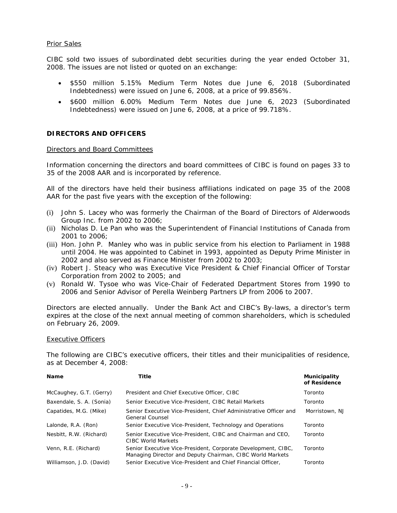### Prior Sales

CIBC sold two issues of subordinated debt securities during the year ended October 31, 2008. The issues are not listed or quoted on an exchange:

- \$550 million 5.15% Medium Term Notes due June 6, 2018 (Subordinated Indebtedness) were issued on June 6, 2008, at a price of 99.856%.
- \$600 million 6.00% Medium Term Notes due June 6, 2023 (Subordinated Indebtedness) were issued on June 6, 2008, at a price of 99.718%.

### **DIRECTORS AND OFFICERS**

#### Directors and Board Committees

Information concerning the directors and board committees of CIBC is found on pages 33 to 35 of the 2008 AAR and is incorporated by reference.

All of the directors have held their business affiliations indicated on page 35 of the 2008 AAR for the past five years with the exception of the following:

- (i) John S. Lacey who was formerly the Chairman of the Board of Directors of Alderwoods Group Inc. from 2002 to 2006;
- (ii) Nicholas D. Le Pan who was the Superintendent of Financial Institutions of Canada from 2001 to 2006;
- (iii) Hon. John P. Manley who was in public service from his election to Parliament in 1988 until 2004. He was appointed to Cabinet in 1993, appointed as Deputy Prime Minister in 2002 and also served as Finance Minister from 2002 to 2003;
- (iv) Robert J. Steacy who was Executive Vice President & Chief Financial Officer of Torstar Corporation from 2002 to 2005; and
- (v) Ronald W. Tysoe who was Vice-Chair of Federated Department Stores from 1990 to 2006 and Senior Advisor of Perella Weinberg Partners LP from 2006 to 2007.

Directors are elected annually. Under the Bank Act and CIBC's By-laws, a director's term expires at the close of the next annual meeting of common shareholders, which is scheduled on February 26, 2009.

#### Executive Officers

The following are CIBC's executive officers, their titles and their municipalities of residence, as at December 4, 2008:

| <b>Name</b>              | Title                                                                                                                      | Municipality<br>of Residence |
|--------------------------|----------------------------------------------------------------------------------------------------------------------------|------------------------------|
| McCaughey, G.T. (Gerry)  | President and Chief Executive Officer, CIBC                                                                                | Toronto                      |
| Baxendale, S. A. (Sonia) | Senior Executive Vice-President, CIBC Retail Markets                                                                       | Toronto                      |
| Capatides, M.G. (Mike)   | Senior Executive Vice-President, Chief Administrative Officer and<br>General Counsel                                       | Morristown, NJ               |
| Lalonde, R.A. (Ron)      | Senior Executive Vice-President, Technology and Operations                                                                 | Toronto                      |
| Nesbitt, R.W. (Richard)  | Senior Executive Vice-President, CIBC and Chairman and CEO.<br>CIBC World Markets                                          | Toronto                      |
| Venn, R.E. (Richard)     | Senior Executive Vice-President, Corporate Development, CIBC,<br>Managing Director and Deputy Chairman, CIBC World Markets | Toronto                      |
| Williamson, J.D. (David) | Senior Executive Vice-President and Chief Financial Officer,                                                               | Toronto                      |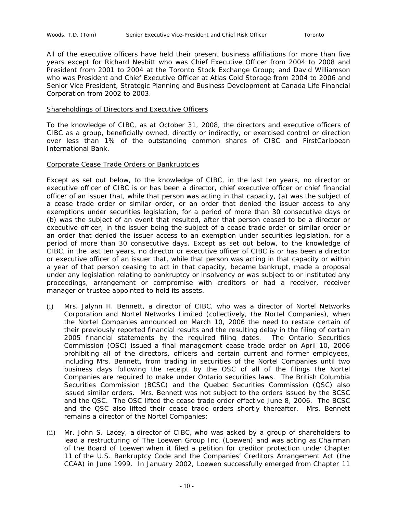All of the executive officers have held their present business affiliations for more than five years except for Richard Nesbitt who was Chief Executive Officer from 2004 to 2008 and President from 2001 to 2004 at the Toronto Stock Exchange Group; and David Williamson who was President and Chief Executive Officer at Atlas Cold Storage from 2004 to 2006 and Senior Vice President, Strategic Planning and Business Development at Canada Life Financial Corporation from 2002 to 2003.

#### Shareholdings of Directors and Executive Officers

To the knowledge of CIBC, as at October 31, 2008, the directors and executive officers of CIBC as a group, beneficially owned, directly or indirectly, or exercised control or direction over less than 1% of the outstanding common shares of CIBC and FirstCaribbean International Bank.

#### Corporate Cease Trade Orders or Bankruptcies

Except as set out below, to the knowledge of CIBC, in the last ten years, no director or executive officer of CIBC is or has been a director, chief executive officer or chief financial officer of an issuer that, while that person was acting in that capacity, (a) was the subject of a cease trade order or similar order, or an order that denied the issuer access to any exemptions under securities legislation, for a period of more than 30 consecutive days or (b) was the subject of an event that resulted, after that person ceased to be a director or executive officer, in the issuer being the subject of a cease trade order or similar order or an order that denied the issuer access to an exemption under securities legislation, for a period of more than 30 consecutive days. Except as set out below, to the knowledge of CIBC, in the last ten years, no director or executive officer of CIBC is or has been a director or executive officer of an issuer that, while that person was acting in that capacity or within a year of that person ceasing to act in that capacity, became bankrupt, made a proposal under any legislation relating to bankruptcy or insolvency or was subject to or instituted any proceedings, arrangement or compromise with creditors or had a receiver, receiver manager or trustee appointed to hold its assets.

- (i) Mrs. Jalynn H. Bennett, a director of CIBC, who was a director of Nortel Networks Corporation and Nortel Networks Limited (collectively, the Nortel Companies), when the Nortel Companies announced on March 10, 2006 the need to restate certain of their previously reported financial results and the resulting delay in the filing of certain 2005 financial statements by the required filing dates. The Ontario Securities Commission (OSC) issued a final management cease trade order on April 10, 2006 prohibiting all of the directors, officers and certain current and former employees, including Mrs. Bennett, from trading in securities of the Nortel Companies until two business days following the receipt by the OSC of all of the filings the Nortel Companies are required to make under Ontario securities laws. The British Columbia Securities Commission (BCSC) and the Quebec Securities Commission (QSC) also issued similar orders. Mrs. Bennett was not subject to the orders issued by the BCSC and the QSC. The OSC lifted the cease trade order effective June 8, 2006. The BCSC and the QSC also lifted their cease trade orders shortly thereafter. Mrs. Bennett remains a director of the Nortel Companies;
- (ii) Mr. John S. Lacey, a director of CIBC, who was asked by a group of shareholders to lead a restructuring of The Loewen Group Inc. (Loewen) and was acting as Chairman of the Board of Loewen when it filed a petition for creditor protection under Chapter 11 of the U.S. Bankruptcy Code and the Companies' Creditors Arrangement Act (the CCAA) in June 1999. In January 2002, Loewen successfully emerged from Chapter 11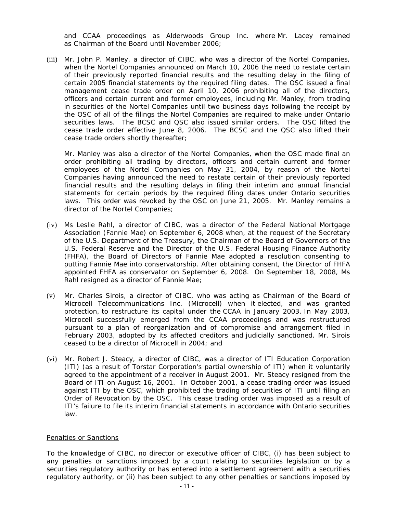and CCAA proceedings as Alderwoods Group Inc. where Mr. Lacey remained as Chairman of the Board until November 2006;

(iii) Mr. John P. Manley, a director of CIBC, who was a director of the Nortel Companies, when the Nortel Companies announced on March 10, 2006 the need to restate certain of their previously reported financial results and the resulting delay in the filing of certain 2005 financial statements by the required filing dates. The OSC issued a final management cease trade order on April 10, 2006 prohibiting all of the directors, officers and certain current and former employees, including Mr. Manley, from trading in securities of the Nortel Companies until two business days following the receipt by the OSC of all of the filings the Nortel Companies are required to make under Ontario securities laws. The BCSC and QSC also issued similar orders. The OSC lifted the cease trade order effective June 8, 2006. The BCSC and the QSC also lifted their cease trade orders shortly thereafter;

Mr. Manley was also a director of the Nortel Companies, when the OSC made final an order prohibiting all trading by directors, officers and certain current and former employees of the Nortel Companies on May 31, 2004, by reason of the Nortel Companies having announced the need to restate certain of their previously reported financial results and the resulting delays in filing their interim and annual financial statements for certain periods by the required filing dates under Ontario securities laws. This order was revoked by the OSC on June 21, 2005. Mr. Manley remains a director of the Nortel Companies;

- (iv) Ms Leslie Rahl, a director of CIBC, was a director of the Federal National Mortgage Association (Fannie Mae) on September 6, 2008 when, at the request of the Secretary of the U.S. Department of the Treasury, the Chairman of the Board of Governors of the U.S. Federal Reserve and the Director of the U.S. Federal Housing Finance Authority (FHFA), the Board of Directors of Fannie Mae adopted a resolution consenting to putting Fannie Mae into conservatorship. After obtaining consent, the Director of FHFA appointed FHFA as conservator on September 6, 2008. On September 18, 2008, Ms Rahl resigned as a director of Fannie Mae;
- (v) Mr. Charles Sirois, a director of CIBC, who was acting as Chairman of the Board of Microcell Telecommunications Inc. (Microcell) when it elected, and was granted protection, to restructure its capital under the CCAA in January 2003. In May 2003, Microcell successfully emerged from the CCAA proceedings and was restructured pursuant to a plan of reorganization and of compromise and arrangement filed in February 2003, adopted by its affected creditors and judicially sanctioned. Mr. Sirois ceased to be a director of Microcell in 2004; and
- (vi) Mr. Robert J. Steacy, a director of CIBC, was a director of ITI Education Corporation (ITI) (as a result of Torstar Corporation's partial ownership of ITI) when it voluntarily agreed to the appointment of a receiver in August 2001. Mr. Steacy resigned from the Board of ITI on August 16, 2001. In October 2001, a cease trading order was issued against ITI by the OSC, which prohibited the trading of securities of ITI until filing an Order of Revocation by the OSC. This cease trading order was imposed as a result of ITI's failure to file its interim financial statements in accordance with Ontario securities law.

#### Penalties or Sanctions

To the knowledge of CIBC, no director or executive officer of CIBC, (i) has been subject to any penalties or sanctions imposed by a court relating to securities legislation or by a securities regulatory authority or has entered into a settlement agreement with a securities regulatory authority, or (ii) has been subject to any other penalties or sanctions imposed by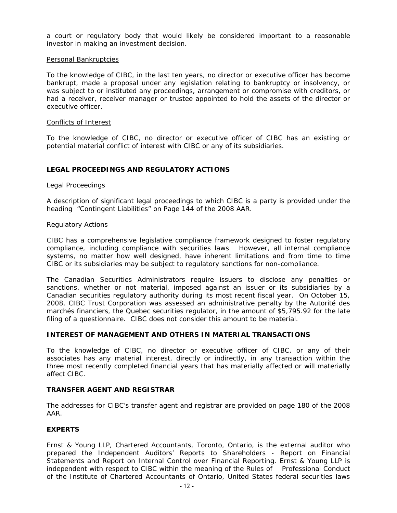a court or regulatory body that would likely be considered important to a reasonable investor in making an investment decision.

#### Personal Bankruptcies

To the knowledge of CIBC, in the last ten years, no director or executive officer has become bankrupt, made a proposal under any legislation relating to bankruptcy or insolvency, or was subject to or instituted any proceedings, arrangement or compromise with creditors, or had a receiver, receiver manager or trustee appointed to hold the assets of the director or executive officer.

#### Conflicts of Interest

To the knowledge of CIBC, no director or executive officer of CIBC has an existing or potential material conflict of interest with CIBC or any of its subsidiaries.

# **LEGAL PROCEEDINGS AND REGULATORY ACTIONS**

#### Legal Proceedings

A description of significant legal proceedings to which CIBC is a party is provided under the heading "Contingent Liabilities" on Page 144 of the 2008 AAR.

# Regulatory Actions

CIBC has a comprehensive legislative compliance framework designed to foster regulatory compliance, including compliance with securities laws. However, all internal compliance systems, no matter how well designed, have inherent limitations and from time to time CIBC or its subsidiaries may be subject to regulatory sanctions for non-compliance.

The Canadian Securities Administrators require issuers to disclose any penalties or sanctions, whether or not material, imposed against an issuer or its subsidiaries by a Canadian securities regulatory authority during its most recent fiscal year. On October 15, 2008, CIBC Trust Corporation was assessed an administrative penalty by the Autorité des marchés financiers, the Quebec securities regulator, in the amount of \$5,795.92 for the late filing of a questionnaire. CIBC does not consider this amount to be material.

# **INTEREST OF MANAGEMENT AND OTHERS IN MATERIAL TRANSACTIONS**

To the knowledge of CIBC, no director or executive officer of CIBC, or any of their associates has any material interest, directly or indirectly, in any transaction within the three most recently completed financial years that has materially affected or will materially affect CIBC.

# **TRANSFER AGENT AND REGISTRAR**

The addresses for CIBC's transfer agent and registrar are provided on page 180 of the 2008 AAR.

# **EXPERTS**

Ernst & Young LLP, Chartered Accountants, Toronto, Ontario, is the external auditor who prepared the Independent Auditors' Reports to Shareholders - Report on Financial Statements and Report on Internal Control over Financial Reporting. Ernst & Young LLP is independent with respect to CIBC within the meaning of the Rules of Professional Conduct of the Institute of Chartered Accountants of Ontario, United States federal securities laws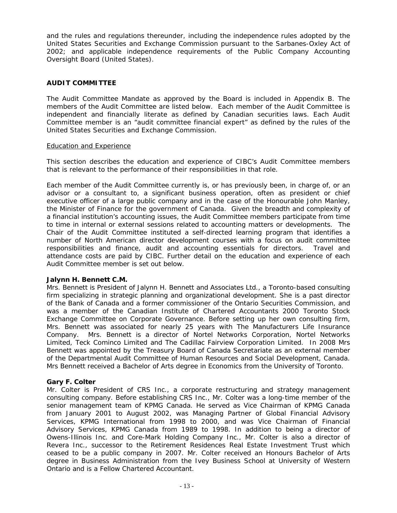and the rules and regulations thereunder, including the independence rules adopted by the United States Securities and Exchange Commission pursuant to the Sarbanes-Oxley Act of 2002; and applicable independence requirements of the Public Company Accounting Oversight Board (United States).

# **AUDIT COMMITTEE**

The Audit Committee Mandate as approved by the Board is included in Appendix B. The members of the Audit Committee are listed below. Each member of the Audit Committee is independent and financially literate as defined by Canadian securities laws. Each Audit Committee member is an "audit committee financial expert" as defined by the rules of the United States Securities and Exchange Commission.

# Education and Experience

This section describes the education and experience of CIBC's Audit Committee members that is relevant to the performance of their responsibilities in that role.

Each member of the Audit Committee currently is, or has previously been, in charge of, or an advisor or a consultant to, a significant business operation, often as president or chief executive officer of a large public company and in the case of the Honourable John Manley, the Minister of Finance for the government of Canada. Given the breadth and complexity of a financial institution's accounting issues, the Audit Committee members participate from time to time in internal or external sessions related to accounting matters or developments. The Chair of the Audit Committee instituted a self-directed learning program that identifies a number of North American director development courses with a focus on audit committee responsibilities and finance, audit and accounting essentials for directors. Travel and attendance costs are paid by CIBC. Further detail on the education and experience of each Audit Committee member is set out below.

# **Jalynn H. Bennett C.M.**

Mrs. Bennett is President of Jalynn H. Bennett and Associates Ltd., a Toronto-based consulting firm specializing in strategic planning and organizational development. She is a past director of the Bank of Canada and a former commissioner of the Ontario Securities Commission, and was a member of the Canadian Institute of Chartered Accountants 2000 Toronto Stock Exchange Committee on Corporate Governance. Before setting up her own consulting firm, Mrs. Bennett was associated for nearly 25 years with The Manufacturers Life Insurance Company. Mrs. Bennett is a director of Nortel Networks Corporation, Nortel Networks Limited, Teck Cominco Limited and The Cadillac Fairview Corporation Limited. In 2008 Mrs Bennett was appointed by the Treasury Board of Canada Secretariate as an external member of the Departmental Audit Committee of Human Resources and Social Development, Canada. Mrs Bennett received a Bachelor of Arts degree in Economics from the University of Toronto.

# **Gary F. Colter**

Mr. Colter is President of CRS Inc., a corporate restructuring and strategy management consulting company. Before establishing CRS Inc., Mr. Colter was a long-time member of the senior management team of KPMG Canada. He served as Vice Chairman of KPMG Canada from January 2001 to August 2002, was Managing Partner of Global Financial Advisory Services, KPMG International from 1998 to 2000, and was Vice Chairman of Financial Advisory Services, KPMG Canada from 1989 to 1998. In addition to being a director of Owens-Illinois Inc. and Core-Mark Holding Company Inc., Mr. Colter is also a director of Revera Inc., successor to the Retirement Residences Real Estate Investment Trust which ceased to be a public company in 2007. Mr. Colter received an Honours Bachelor of Arts degree in Business Administration from the Ivey Business School at University of Western Ontario and is a Fellow Chartered Accountant.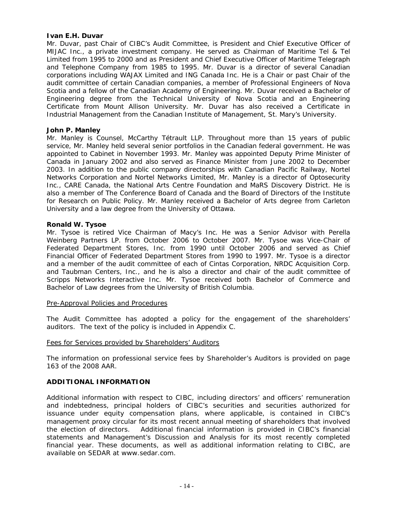# **Ivan E.H. Duvar**

Mr. Duvar, past Chair of CIBC's Audit Committee, is President and Chief Executive Officer of MIJAC Inc., a private investment company. He served as Chairman of Maritime Tel & Tel Limited from 1995 to 2000 and as President and Chief Executive Officer of Maritime Telegraph and Telephone Company from 1985 to 1995. Mr. Duvar is a director of several Canadian corporations including WAJAX Limited and ING Canada Inc. He is a Chair or past Chair of the audit committee of certain Canadian companies, a member of Professional Engineers of Nova Scotia and a fellow of the Canadian Academy of Engineering. Mr. Duvar received a Bachelor of Engineering degree from the Technical University of Nova Scotia and an Engineering Certificate from Mount Allison University. Mr. Duvar has also received a Certificate in Industrial Management from the Canadian Institute of Management, St. Mary's University.

#### **John P. Manley**

Mr. Manley is Counsel, McCarthy Tétrault LLP. Throughout more than 15 years of public service, Mr. Manley held several senior portfolios in the Canadian federal government. He was appointed to Cabinet in November 1993. Mr. Manley was appointed Deputy Prime Minister of Canada in January 2002 and also served as Finance Minister from June 2002 to December 2003. In addition to the public company directorships with Canadian Pacific Railway, Nortel Networks Corporation and Nortel Networks Limited, Mr. Manley is a director of Optosecurity Inc., CARE Canada, the National Arts Centre Foundation and MaRS Discovery District. He is also a member of The Conference Board of Canada and the Board of Directors of the Institute for Research on Public Policy. Mr. Manley received a Bachelor of Arts degree from Carleton University and a law degree from the University of Ottawa.

# **Ronald W. Tysoe**

Mr. Tysoe is retired Vice Chairman of Macy's Inc. He was a Senior Advisor with Perella Weinberg Partners LP. from October 2006 to October 2007. Mr. Tysoe was Vice-Chair of Federated Department Stores, Inc. from 1990 until October 2006 and served as Chief Financial Officer of Federated Department Stores from 1990 to 1997. Mr. Tysoe is a director and a member of the audit committee of each of Cintas Corporation, NRDC Acquisition Corp. and Taubman Centers, Inc., and he is also a director and chair of the audit committee of Scripps Networks Interactive Inc. Mr. Tysoe received both Bachelor of Commerce and Bachelor of Law degrees from the University of British Columbia.

#### Pre-Approval Policies and Procedures

The Audit Committee has adopted a policy for the engagement of the shareholders' auditors. The text of the policy is included in Appendix C.

#### Fees for Services provided by Shareholders' Auditors

The information on professional service fees by Shareholder's Auditors is provided on page 163 of the 2008 AAR.

# **ADDITIONAL INFORMATION**

Additional information with respect to CIBC, including directors' and officers' remuneration and indebtedness, principal holders of CIBC's securities and securities authorized for issuance under equity compensation plans, where applicable, is contained in CIBC's management proxy circular for its most recent annual meeting of shareholders that involved the election of directors. Additional financial information is provided in CIBC's financial statements and Management's Discussion and Analysis for its most recently completed financial year. These documents, as well as additional information relating to CIBC, are available on SEDAR at [www.sedar.com.](http://www.sedar.com/)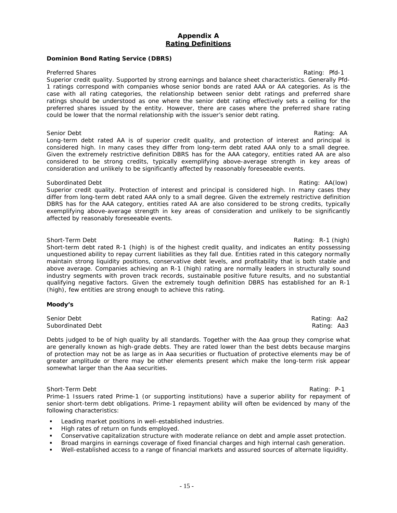# **Appendix A Rating Definitions**

# **Dominion Bond Rating Service (DBRS)**

#### Preferred Shares **Rating: Preferred Shares** Rating: Pfd-1

Superior credit quality. Supported by strong earnings and balance sheet characteristics. Generally Pfd-1 ratings correspond with companies whose senior bonds are rated AAA or AA categories. As is the case with all rating categories, the relationship between senior debt ratings and preferred share ratings should be understood as one where the senior debt rating effectively sets a ceiling for the preferred shares issued by the entity. However, there are cases where the preferred share rating could be lower that the normal relationship with the issuer's senior debt rating.

#### Senior Debt Rating: AA

Long-term debt rated AA is of superior credit quality, and protection of interest and principal is considered high. In many cases they differ from long-term debt rated AAA only to a small degree. Given the extremely restrictive definition DBRS has for the AAA category, entities rated AA are also considered to be strong credits, typically exemplifying above-average strength in key areas of consideration and unlikely to be significantly affected by reasonably foreseeable events.

#### Subordinated Debt **Rating: AA(low)** Subordinated Debt **Rating: AA(low)** Rating: AA(low)

Superior credit quality. Protection of interest and principal is considered high. In many cases they differ from long-term debt rated AAA only to a small degree. Given the extremely restrictive definition DBRS has for the AAA category, entities rated AA are also considered to be strong credits, typically exemplifying above-average strength in key areas of consideration and unlikely to be significantly affected by reasonably foreseeable events.

Short-Term Debt Rating: R-1 (high) Short-term debt rated R-1 (high) is of the highest credit quality, and indicates an entity possessing unquestioned ability to repay current liabilities as they fall due. Entities rated in this category normally maintain strong liquidity positions, conservative debt levels, and profitability that is both stable and above average. Companies achieving an R-1 (high) rating are normally leaders in structurally sound industry segments with proven track records, sustainable positive future results, and no substantial qualifying negative factors. Given the extremely tough definition DBRS has established for an R-1 (high), few entities are strong enough to achieve this rating.

#### **Moody's**

Senior Debt **Rating: Aa2** Subordinated Debt **Rating: Aa3** Rating: Aa3

Debts judged to be of high quality by all standards. Together with the Aaa group they comprise what are generally known as high-grade debts. They are rated lower than the best debts because margins of protection may not be as large as in Aaa securities or fluctuation of protective elements may be of greater amplitude or there may be other elements present which make the long-term risk appear somewhat larger than the Aaa securities.

Short-Term Debt Rating: P-1 Prime-1 Issuers rated Prime-1 (or supporting institutions) have a superior ability for repayment of senior short-term debt obligations. Prime-1 repayment ability will often be evidenced by many of the following characteristics:

- **EXECTED FIGHTS Leading market positions in well-established industries.**
- High rates of return on funds employed.
- Conservative capitalization structure with moderate reliance on debt and ample asset protection.
- Broad margins in earnings coverage of fixed financial charges and high internal cash generation.
- Well-established access to a range of financial markets and assured sources of alternate liquidity.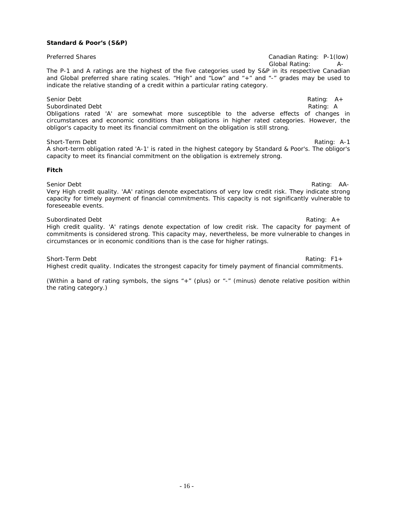#### **Standard & Poor's (S&P)**

Preferred Shares Canadian Rating: P-1(low) Global Rating: A-The P-1 and A ratings are the highest of the five categories used by S&P in its respective Canadian and Global preferred share rating scales. "High" and "Low" and "+" and "-" grades may be used to indicate the relative standing of a credit within a particular rating category.

Senior Debt<br>
Subordinated Debt<br>
Rating: A<br>
Rating: A Subordinated Debt Obligations rated 'A' are somewhat more susceptible to the adverse effects of changes in circumstances and economic conditions than obligations in higher rated categories. However, the obligor's capacity to meet its financial commitment on the obligation is still strong.

Short-Term Debt **Rating:** A-1 A short-term obligation rated 'A-1' is rated in the highest category by Standard & Poor's. The obligor's capacity to meet its financial commitment on the obligation is extremely strong.

#### **Fitch**

Senior Debt **Rating: AA-**Very High credit quality. 'AA' ratings denote expectations of very low credit risk. They indicate strong capacity for timely payment of financial commitments. This capacity is not significantly vulnerable to foreseeable events.

Subordinated Debt Rating: A + High credit quality. 'A' ratings denote expectation of low credit risk. The capacity for payment of commitments is considered strong. This capacity may, nevertheless, be more vulnerable to changes in circumstances or in economic conditions than is the case for higher ratings.

Short-Term Debt **Rating: F1+** Rating: F1+ Highest credit quality. Indicates the strongest capacity for timely payment of financial commitments.

*(Within a band of rating symbols, the signs "+" (plus) or "-" (minus) denote relative position within the rating category.)*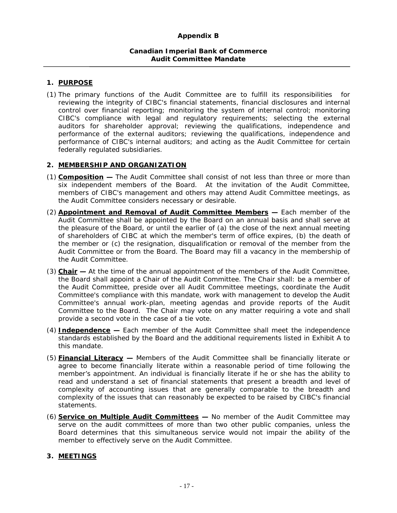# **Canadian Imperial Bank of Commerce Audit Committee Mandate**

# **1. PURPOSE**

(1) The primary functions of the Audit Committee are to fulfill its responsibilities for reviewing the integrity of CIBC's financial statements, financial disclosures and internal control over financial reporting; monitoring the system of internal control; monitoring CIBC's compliance with legal and regulatory requirements; selecting the external auditors for shareholder approval; reviewing the qualifications, independence and performance of the external auditors; reviewing the qualifications, independence and performance of CIBC's internal auditors; and acting as the Audit Committee for certain federally regulated subsidiaries.

# **2. MEMBERSHIP AND ORGANIZATION**

- (1) **Composition** The Audit Committee shall consist of not less than three or more than six independent members of the Board. At the invitation of the Audit Committee, members of CIBC's management and others may attend Audit Committee meetings, as the Audit Committee considers necessary or desirable.
- (2) **Appointment and Removal of Audit Committee Members —** Each member of the Audit Committee shall be appointed by the Board on an annual basis and shall serve at the pleasure of the Board, or until the earlier of (a) the close of the next annual meeting of shareholders of CIBC at which the member's term of office expires, (b) the death of the member or (c) the resignation, disqualification or removal of the member from the Audit Committee or from the Board. The Board may fill a vacancy in the membership of the Audit Committee.
- (3) **Chair** At the time of the annual appointment of the members of the Audit Committee, the Board shall appoint a Chair of the Audit Committee. The Chair shall: be a member of the Audit Committee, preside over all Audit Committee meetings, coordinate the Audit Committee's compliance with this mandate, work with management to develop the Audit Committee's annual work-plan, meeting agendas and provide reports of the Audit Committee to the Board. The Chair may vote on any matter requiring a vote and shall provide a second vote in the case of a tie vote.
- (4) **Independence —** Each member of the Audit Committee shall meet the independence standards established by the Board and the additional requirements listed in Exhibit A to this mandate.
- (5) **Financial Literacy —** Members of the Audit Committee shall be financially literate or agree to become financially literate within a reasonable period of time following the member's appointment. An individual is financially literate if he or she has the ability to read and understand a set of financial statements that present a breadth and level of complexity of accounting issues that are generally comparable to the breadth and complexity of the issues that can reasonably be expected to be raised by CIBC's financial statements.
- (6) **Service on Multiple Audit Committees** No member of the Audit Committee may serve on the audit committees of more than two other public companies, unless the Board determines that this simultaneous service would not impair the ability of the member to effectively serve on the Audit Committee.

# **3. MEETINGS**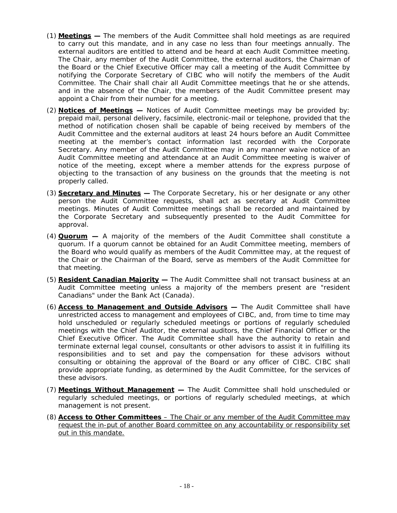- (1) **Meetings** The members of the Audit Committee shall hold meetings as are required to carry out this mandate, and in any case no less than four meetings annually. The external auditors are entitled to attend and be heard at each Audit Committee meeting. The Chair, any member of the Audit Committee, the external auditors, the Chairman of the Board or the Chief Executive Officer may call a meeting of the Audit Committee by notifying the Corporate Secretary of CIBC who will notify the members of the Audit Committee. The Chair shall chair all Audit Committee meetings that he or she attends, and in the absence of the Chair, the members of the Audit Committee present may appoint a Chair from their number for a meeting.
- (2) **Notices of Meetings** Notices of Audit Committee meetings may be provided by: prepaid mail, personal delivery, facsimile, electronic-mail or telephone, provided that the method of notification chosen shall be capable of being received by members of the Audit Committee and the external auditors at least 24 hours before an Audit Committee meeting at the member's contact information last recorded with the Corporate Secretary. Any member of the Audit Committee may in any manner waive notice of an Audit Committee meeting and attendance at an Audit Committee meeting is waiver of notice of the meeting, except where a member attends for the express purpose of objecting to the transaction of any business on the grounds that the meeting is not properly called.
- (3) **Secretary and Minutes —** The Corporate Secretary, his or her designate or any other person the Audit Committee requests, shall act as secretary at Audit Committee meetings. Minutes of Audit Committee meetings shall be recorded and maintained by the Corporate Secretary and subsequently presented to the Audit Committee for approval.
- (4) **Quorum** A majority of the members of the Audit Committee shall constitute a quorum. If a quorum cannot be obtained for an Audit Committee meeting, members of the Board who would qualify as members of the Audit Committee may, at the request of the Chair or the Chairman of the Board, serve as members of the Audit Committee for that meeting.
- (5) **Resident Canadian Majority —** The Audit Committee shall not transact business at an Audit Committee meeting unless a majority of the members present are "resident Canadians" under the *Bank Act* (Canada).
- (6) **Access to Management and Outside Advisors —** The Audit Committee shall have unrestricted access to management and employees of CIBC, and, from time to time may hold unscheduled or regularly scheduled meetings or portions of regularly scheduled meetings with the Chief Auditor, the external auditors, the Chief Financial Officer or the Chief Executive Officer. The Audit Committee shall have the authority to retain and terminate external legal counsel, consultants or other advisors to assist it in fulfilling its responsibilities and to set and pay the compensation for these advisors without consulting or obtaining the approval of the Board or any officer of CIBC. CIBC shall provide appropriate funding, as determined by the Audit Committee, for the services of these advisors.
- (7) **Meetings Without Management** The Audit Committee shall hold unscheduled or regularly scheduled meetings, or portions of regularly scheduled meetings, at which management is not present.
- (8) **Access to Other Committees**  The Chair or any member of the Audit Committee may request the in-put of another Board committee on any accountability or responsibility set out in this mandate.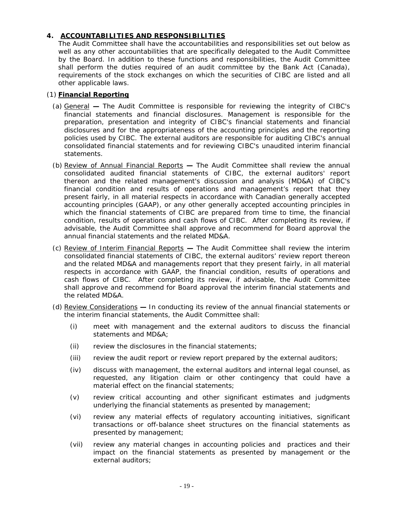# **4. ACCOUNTABILITIES AND RESPONSIBILITIES**

The Audit Committee shall have the accountabilities and responsibilities set out below as well as any other accountabilities that are specifically delegated to the Audit Committee by the Board. In addition to these functions and responsibilities, the Audit Committee shall perform the duties required of an audit committee by the *Bank Act* (Canada), requirements of the stock exchanges on which the securities of CIBC are listed and all other applicable laws.

# (1) **Financial Reporting**

- (a) GeneralThe Audit Committee is responsible for reviewing the integrity of CIBC's financial statements and financial disclosures. Management is responsible for the preparation, presentation and integrity of CIBC's financial statements and financial disclosures and for the appropriateness of the accounting principles and the reporting policies used by CIBC. The external auditors are responsible for auditing CIBC's annual consolidated financial statements and for reviewing CIBC's unaudited interim financial statements.
- (b) Review of Annual Financial ReportsThe Audit Committee shall review the annual consolidated audited financial statements of CIBC, the external auditors' report thereon and the related management's discussion and analysis (MD&A) of CIBC's financial condition and results of operations and management's report that they present fairly, in all material respects in accordance with Canadian generally accepted accounting principles (GAAP), or any other generally accepted accounting principles in which the financial statements of CIBC are prepared from time to time, the financial condition, results of operations and cash flows of CIBC. After completing its review, if advisable, the Audit Committee shall approve and recommend for Board approval the annual financial statements and the related MD&A.
- (c) Review of Interim Financial Reports **—** The Audit Committee shall review the interim consolidated financial statements of CIBC, the external auditors' review report thereon and the related MD&A and managements report that they present fairly, in all material respects in accordance with GAAP, the financial condition, results of operations and cash flows of CIBC. After completing its review, if advisable, the Audit Committee shall approve and recommend for Board approval the interim financial statements and the related MD&A.
- (d) Review Considerations **—** In conducting its review of the annual financial statements or the interim financial statements, the Audit Committee shall:
	- (i) meet with management and the external auditors to discuss the financial statements and MD&A;
	- (ii) review the disclosures in the financial statements;
	- (iii) review the audit report or review report prepared by the external auditors;
	- (iv) discuss with management, the external auditors and internal legal counsel, as requested, any litigation claim or other contingency that could have a material effect on the financial statements;
	- (v) review critical accounting and other significant estimates and judgments underlying the financial statements as presented by management;
	- (vi) review any material effects of regulatory accounting initiatives, significant transactions or off-balance sheet structures on the financial statements as presented by management;
	- (vii) review any material changes in accounting policies and practices and their impact on the financial statements as presented by management or the external auditors;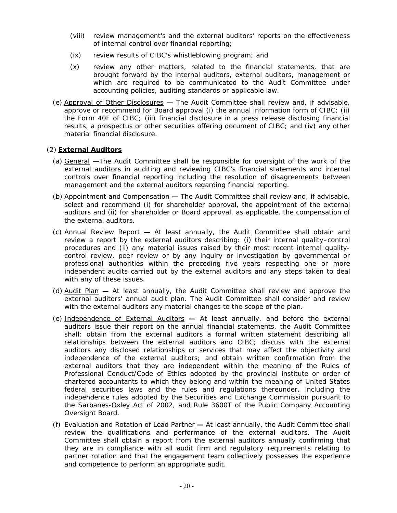- (viii) review management's and the external auditors' reports on the effectiveness of internal control over financial reporting;
- (ix) review results of CIBC's whistleblowing program; and
- (x) review any other matters, related to the financial statements, that are brought forward by the internal auditors, external auditors, management or which are required to be communicated to the Audit Committee under accounting policies, auditing standards or applicable law.
- (e) Approval of Other Disclosures The Audit Committee shall review and, if advisable, approve or recommend for Board approval (i) the annual information form of CIBC; (ii) the Form 40F of CIBC; (iii) financial disclosure in a press release disclosing financial results, a prospectus or other securities offering document of CIBC; and (iv) any other material financial disclosure.

# (2) **External Auditors**

- (a) General **—**The Audit Committee shall be responsible for oversight of the work of the external auditors in auditing and reviewing CIBC's financial statements and internal controls over financial reporting including the resolution of disagreements between management and the external auditors regarding financial reporting.
- (b) Appointment and CompensationThe Audit Committee shall review and, if advisable, select and recommend (i) for shareholder approval, the appointment of the external auditors and (ii) for shareholder or Board approval, as applicable, the compensation of the external auditors.
- (c) Annual Review ReportAt least annually, the Audit Committee shall obtain and review a report by the external auditors describing: (i) their internal quality–control procedures and (ii) any material issues raised by their most recent internal qualitycontrol review, peer review or by any inquiry or investigation by governmental or professional authorities within the preceding five years respecting one or more independent audits carried out by the external auditors and any steps taken to deal with any of these issues.
- (d) Audit PlanAt least annually, the Audit Committee shall review and approve the external auditors' annual audit plan. The Audit Committee shall consider and review with the external auditors any material changes to the scope of the plan.
- (e) Independence of External AuditorsAt least annually, and before the external auditors issue their report on the annual financial statements, the Audit Committee shall: obtain from the external auditors a formal written statement describing all relationships between the external auditors and CIBC; discuss with the external auditors any disclosed relationships or services that may affect the objectivity and independence of the external auditors; and obtain written confirmation from the external auditors that they are independent within the meaning of the Rules of Professional Conduct/Code of Ethics adopted by the provincial institute or order of chartered accountants to which they belong and within the meaning of United States federal securities laws and the rules and regulations thereunder, including the independence rules adopted by the Securities and Exchange Commission pursuant to the Sarbanes-Oxley Act of 2002, and Rule 3600T of the Public Company Accounting Oversight Board.
- (f) Evaluation and Rotation of Lead PartnerAt least annually, the Audit Committee shall review the qualifications and performance of the external auditors. The Audit Committee shall obtain a report from the external auditors annually confirming that they are in compliance with all audit firm and regulatory requirements relating to partner rotation and that the engagement team collectively possesses the experience and competence to perform an appropriate audit.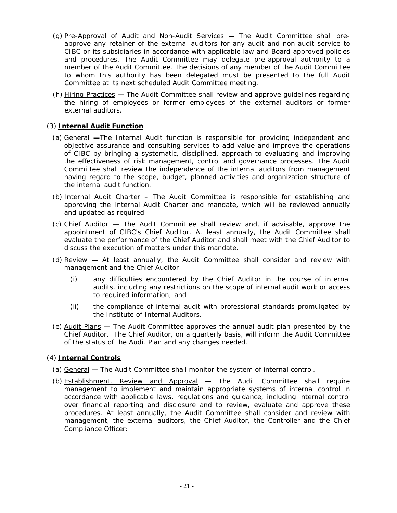- (g) Pre-Approval of Audit and Non-Audit ServicesThe Audit Committee shall preapprove any retainer of the external auditors for any audit and non-audit service to CIBC or its subsidiaries in accordance with applicable law and Board approved policies and procedures. The Audit Committee may delegate pre-approval authority to a member of the Audit Committee. The decisions of any member of the Audit Committee to whom this authority has been delegated must be presented to the full Audit Committee at its next scheduled Audit Committee meeting.
- (h) Hiring Practices **—** The Audit Committee shall review and approve guidelines regarding the hiring of employees or former employees of the external auditors or former external auditors.

# (3) **Internal Audit Function**

- (a) General **—**The Internal Audit function is responsible for providing independent and objective assurance and consulting services to add value and improve the operations of CIBC by bringing a systematic, disciplined, approach to evaluating and improving the effectiveness of risk management, control and governance processes. The Audit Committee shall review the independence of the internal auditors from management having regard to the scope, budget, planned activities and organization structure of the internal audit function.
- (b) Internal Audit Charter The Audit Committee is responsible for establishing and approving the Internal Audit Charter and mandate, which will be reviewed annually and updated as required.
- (c) Chief Auditor The Audit Committee shall review and, if advisable, approve the appointment of CIBC's Chief Auditor. At least annually, the Audit Committee shall evaluate the performance of the Chief Auditor and shall meet with the Chief Auditor to discuss the execution of matters under this mandate.
- (d) ReviewAt least annually, the Audit Committee shall consider and review with management and the Chief Auditor:
	- (i) any difficulties encountered by the Chief Auditor in the course of internal audits, including any restrictions on the scope of internal audit work or access to required information; and
	- (ii) the compliance of internal audit with professional standards promulgated by the Institute of Internal Auditors.
- (e) Audit PlansThe Audit Committee approves the annual audit plan presented by the Chief Auditor. The Chief Auditor, on a quarterly basis, will inform the Audit Committee of the status of the Audit Plan and any changes needed.

# (4) **Internal Controls**

- (a) GeneralThe Audit Committee shall monitor the system of internal control.
- (b) Establishment, Review and ApprovalThe Audit Committee shall require management to implement and maintain appropriate systems of internal control in accordance with applicable laws, regulations and guidance, including internal control over financial reporting and disclosure and to review, evaluate and approve these procedures. At least annually, the Audit Committee shall consider and review with management, the external auditors, the Chief Auditor, the Controller and the Chief Compliance Officer: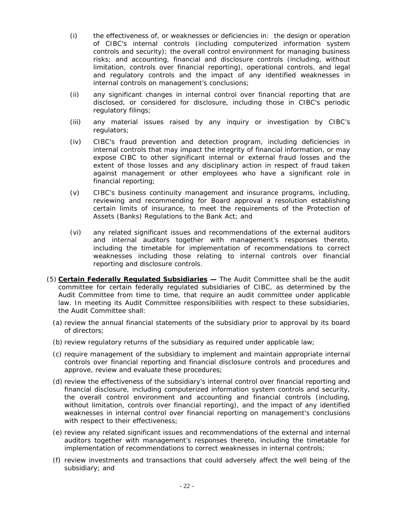- (i) the effectiveness of, or weaknesses or deficiencies in: the design or operation of CIBC's internal controls (including computerized information system controls and security); the overall control environment for managing business risks; and accounting, financial and disclosure controls (including, without limitation, controls over financial reporting), operational controls, and legal and regulatory controls and the impact of any identified weaknesses in internal controls on management's conclusions;
- (ii) any significant changes in internal control over financial reporting that are disclosed, or considered for disclosure, including those in CIBC's periodic regulatory filings;
- (iii) any material issues raised by any inquiry or investigation by CIBC's regulators;
- (iv) CIBC's fraud prevention and detection program, including deficiencies in internal controls that may impact the integrity of financial information, or may expose CIBC to other significant internal or external fraud losses and the extent of those losses and any disciplinary action in respect of fraud taken against management or other employees who have a significant role in financial reporting;
- (v) CIBC's business continuity management and insurance programs, including, reviewing and recommending for Board approval a resolution establishing certain limits of insurance, to meet the requirements of the Protection of Assets (Banks) Regulations to the Bank Act; and
- (vi) any related significant issues and recommendations of the external auditors and internal auditors together with management's responses thereto, including the timetable for implementation of recommendations to correct weaknesses including those relating to internal controls over financial reporting and disclosure controls.
- (5) **Certain Federally Regulated Subsidiaries** The Audit Committee shall be the audit committee for certain federally regulated subsidiaries of CIBC, as determined by the Audit Committee from time to time, that require an audit committee under applicable law. In meeting its Audit Committee responsibilities with respect to these subsidiaries, the Audit Committee shall:
	- (a) review the annual financial statements of the subsidiary prior to approval by its board of directors;
	- (b) review regulatory returns of the subsidiary as required under applicable law;
	- (c) require management of the subsidiary to implement and maintain appropriate internal controls over financial reporting and financial disclosure controls and procedures and approve, review and evaluate these procedures;
	- (d) review the effectiveness of the subsidiary's internal control over financial reporting and financial disclosure, including computerized information system controls and security, the overall control environment and accounting and financial controls (including, without limitation, controls over financial reporting), and the impact of any identified weaknesses in internal control over financial reporting on management's conclusions with respect to their effectiveness;
	- (e) review any related significant issues and recommendations of the external and internal auditors together with management's responses thereto, including the timetable for implementation of recommendations to correct weaknesses in internal controls;
	- (f) review investments and transactions that could adversely affect the well being of the subsidiary; and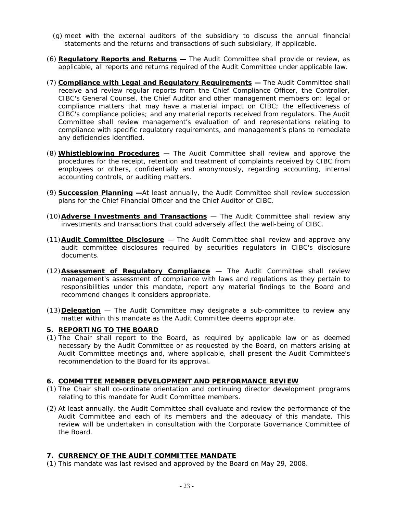- (g) meet with the external auditors of the subsidiary to discuss the annual financial statements and the returns and transactions of such subsidiary, if applicable.
- (6) **Regulatory Reports and Returns** The Audit Committee shall provide or review, as applicable, all reports and returns required of the Audit Committee under applicable law.
- (7) **Compliance with Legal and Regulatory Requirements** The Audit Committee shall receive and review regular reports from the Chief Compliance Officer, the Controller, CIBC's General Counsel, the Chief Auditor and other management members on: legal or compliance matters that may have a material impact on CIBC; the effectiveness of CIBC's compliance policies; and any material reports received from regulators. The Audit Committee shall review management's evaluation of and representations relating to compliance with specific regulatory requirements, and management's plans to remediate any deficiencies identified.
- (8) **Whistleblowing Procedures** The Audit Committee shall review and approve the procedures for the receipt, retention and treatment of complaints received by CIBC from employees or others, confidentially and anonymously, regarding accounting, internal accounting controls, or auditing matters.
- (9) **Succession Planning —**At least annually, the Audit Committee shall review succession plans for the Chief Financial Officer and the Chief Auditor of CIBC.
- (10)**Adverse Investments and Transactions** The Audit Committee shall review any investments and transactions that could adversely affect the well-being of CIBC.
- (11)**Audit Committee Disclosure** The Audit Committee shall review and approve any audit committee disclosures required by securities regulators in CIBC's disclosure documents.
- (12)**Assessment of Regulatory Compliance** The Audit Committee shall review management's assessment of compliance with laws and regulations as they pertain to responsibilities under this mandate, report any material findings to the Board and recommend changes it considers appropriate.
- (13)**Delegation** The Audit Committee may designate a sub-committee to review any matter within this mandate as the Audit Committee deems appropriate.

# **5. REPORTING TO THE BOARD**

(1) The Chair shall report to the Board, as required by applicable law or as deemed necessary by the Audit Committee or as requested by the Board, on matters arising at Audit Committee meetings and, where applicable, shall present the Audit Committee's recommendation to the Board for its approval.

#### **6. COMMITTEE MEMBER DEVELOPMENT AND PERFORMANCE REVIEW**

- (1) The Chair shall co-ordinate orientation and continuing director development programs relating to this mandate for Audit Committee members.
- (2) At least annually, the Audit Committee shall evaluate and review the performance of the Audit Committee and each of its members and the adequacy of this mandate. This review will be undertaken in consultation with the Corporate Governance Committee of the Board.

# **7. CURRENCY OF THE AUDIT COMMITTEE MANDATE**

(1) This mandate was last revised and approved by the Board on May 29, 2008.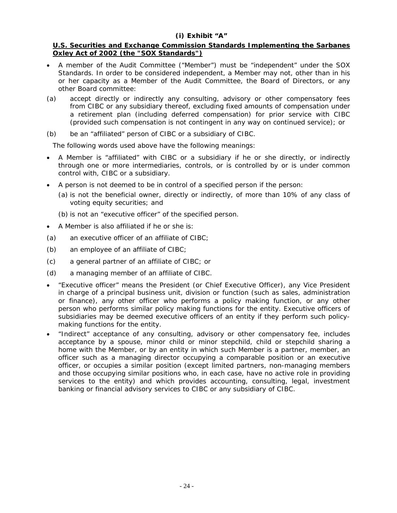# **(i) Exhibit "A"**

# **U.S. Securities and Exchange Commission Standards Implementing the Sarbanes Oxley Act of 2002 (the "SOX Standards")**

- A member of the Audit Committee ("Member") must be "independent" under the SOX Standards. In order to be considered independent, a Member may not, other than in his or her capacity as a Member of the Audit Committee, the Board of Directors, or any other Board committee:
- (a) accept directly or indirectly any consulting, advisory or other compensatory fees from CIBC or any subsidiary thereof, excluding fixed amounts of compensation under a retirement plan (including deferred compensation) for prior service with CIBC (provided such compensation is not contingent in any way on continued service); or
- (b) be an "affiliated" person of CIBC or a subsidiary of CIBC.

The following words used above have the following meanings:

- A Member is "affiliated" with CIBC or a subsidiary if he or she directly, or indirectly through one or more intermediaries, controls, or is controlled by or is under common control with, CIBC or a subsidiary.
- A person is not deemed to be in control of a specified person if the person:
	- (a) is not the beneficial owner, directly or indirectly, of more than 10% of any class of voting equity securities; and
	- (b) is not an "executive officer" of the specified person.
- A Member is also affiliated if he or she is:
- (a) an executive officer of an affiliate of CIBC;
- (b) an employee of an affiliate of CIBC;
- (c) a general partner of an affiliate of CIBC; or
- (d) a managing member of an affiliate of CIBC.
- "Executive officer" means the President (or Chief Executive Officer), any Vice President in charge of a principal business unit, division or function (such as sales, administration or finance), any other officer who performs a policy making function, or any other person who performs similar policy making functions for the entity. Executive officers of subsidiaries may be deemed executive officers of an entity if they perform such policymaking functions for the entity.
- "Indirect" acceptance of any consulting, advisory or other compensatory fee, includes acceptance by a spouse, minor child or minor stepchild, child or stepchild sharing a home with the Member, or by an entity in which such Member is a partner, member, an officer such as a managing director occupying a comparable position or an executive officer, or occupies a similar position (except limited partners, non-managing members and those occupying similar positions who, in each case, have no active role in providing services to the entity) and which provides accounting, consulting, legal, investment banking or financial advisory services to CIBC or any subsidiary of CIBC.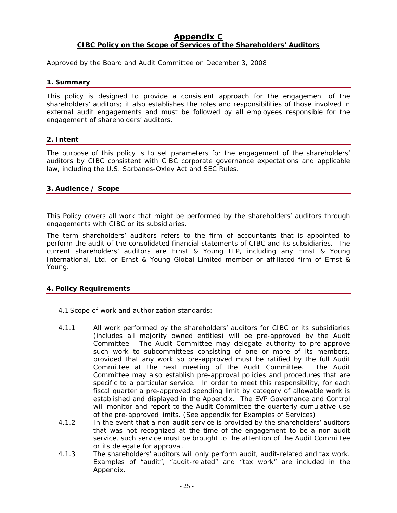# **Appendix C CIBC Policy on the Scope of Services of the Shareholders' Auditors**

# Approved by the Board and Audit Committee on December 3, 2008

# **1. Summary**

This policy is designed to provide a consistent approach for the engagement of the shareholders' auditors; it also establishes the roles and responsibilities of those involved in external audit engagements and must be followed by all employees responsible for the engagement of shareholders' auditors.

# **2. Intent**

The purpose of this policy is to set parameters for the engagement of the shareholders' auditors by CIBC consistent with CIBC corporate governance expectations and applicable law, including the U.S. Sarbanes-Oxley Act and SEC Rules.

# **3. Audience / Scope**

This Policy covers all work that might be performed by the shareholders' auditors through engagements with CIBC or its subsidiaries.

The term shareholders' auditors refers to the firm of accountants that is appointed to perform the audit of the consolidated financial statements of CIBC and its subsidiaries. The current shareholders' auditors are Ernst & Young LLP, including any Ernst & Young International, Ltd. or Ernst & Young Global Limited member or affiliated firm of Ernst & Young.

# **4. Policy Requirements**

- 4.1Scope of work and authorization standards:
- 4.1.1 All work performed by the shareholders' auditors for CIBC or its subsidiaries (includes all majority owned entities) will be pre-approved by the Audit Committee. The Audit Committee may delegate authority to pre-approve such work to subcommittees consisting of one or more of its members, provided that any work so pre-approved must be ratified by the full Audit Committee at the next meeting of the Audit Committee. The Audit Committee may also establish pre-approval policies and procedures that are specific to a particular service. In order to meet this responsibility, for each fiscal quarter a pre-approved spending limit by category of allowable work is established and displayed in the Appendix. The EVP Governance and Control will monitor and report to the Audit Committee the quarterly cumulative use of the pre-approved limits. (See appendix for Examples of Services)
- 4.1.2 In the event that a non-audit service is provided by the shareholders' auditors that was not recognized at the time of the engagement to be a non-audit service, such service must be brought to the attention of the Audit Committee or its delegate for approval.
- 4.1.3 The shareholders' auditors will only perform audit, audit-related and tax work. Examples of "audit", "audit-related" and "tax work" are included in the Appendix.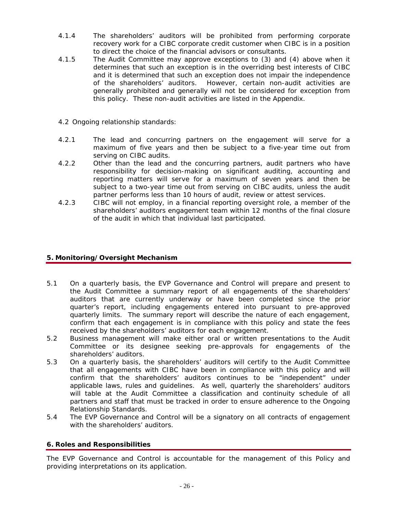- 4.1.4 The shareholders' auditors will be prohibited from performing corporate recovery work for a CIBC corporate credit customer when CIBC is in a position to direct the choice of the financial advisors or consultants.
- 4.1.5 The Audit Committee may approve exceptions to (3) and (4) above when it determines that such an exception is in the overriding best interests of CIBC and it is determined that such an exception does not impair the independence of the shareholders' auditors. However, certain non-audit activities are generally prohibited and generally will not be considered for exception from this policy. These non-audit activities are listed in the Appendix.
- 4.2 Ongoing relationship standards:
- 4.2.1 The lead and concurring partners on the engagement will serve for a maximum of five years and then be subject to a five-year time out from serving on CIBC audits.
- 4.2.2 Other than the lead and the concurring partners, audit partners who have responsibility for decision-making on significant auditing, accounting and reporting matters will serve for a maximum of seven years and then be subject to a two-year time out from serving on CIBC audits, unless the audit partner performs less than 10 hours of audit, review or attest services.
- 4.2.3 CIBC will not employ, in a financial reporting oversight role, a member of the shareholders' auditors engagement team within 12 months of the final closure of the audit in which that individual last participated.

# **5. Monitoring/Oversight Mechanism**

- 5.1 On a quarterly basis, the EVP Governance and Control will prepare and present to the Audit Committee a summary report of all engagements of the shareholders' auditors that are currently underway or have been completed since the prior quarter's report, including engagements entered into pursuant to pre-approved quarterly limits. The summary report will describe the nature of each engagement, confirm that each engagement is in compliance with this policy and state the fees received by the shareholders' auditors for each engagement.
- 5.2 Business management will make either oral or written presentations to the Audit Committee or its designee seeking pre-approvals for engagements of the shareholders' auditors.
- 5.3 On a quarterly basis, the shareholders' auditors will certify to the Audit Committee that all engagements with CIBC have been in compliance with this policy and will confirm that the shareholders' auditors continues to be "independent" under applicable laws, rules and guidelines. As well, quarterly the shareholders' auditors will table at the Audit Committee a classification and continuity schedule of all partners and staff that must be tracked in order to ensure adherence to the Ongoing Relationship Standards.
- 5.4 The EVP Governance and Control will be a signatory on all contracts of engagement with the shareholders' auditors.

# **6. Roles and Responsibilities**

The EVP Governance and Control is accountable for the management of this Policy and providing interpretations on its application.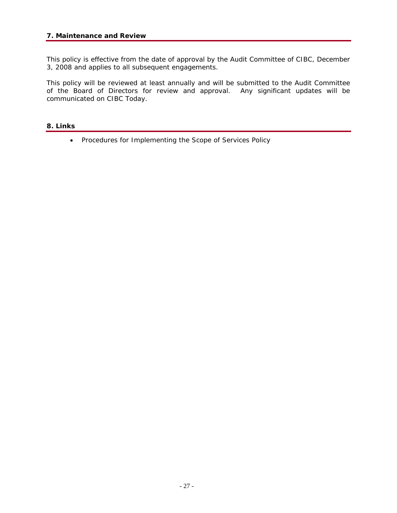This policy is effective from the date of approval by the Audit Committee of CIBC, December 3, 2008 and applies to all subsequent engagements.

This policy will be reviewed at least annually and will be submitted to the Audit Committee of the Board of Directors for review and approval. Any significant updates will be communicated on CIBC Today.

# **8. Links**

• Procedures for Implementing the Scope of Services Policy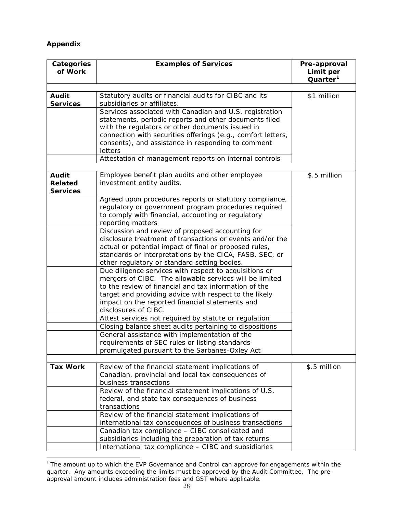# **Appendix**

 $\overline{a}$ 

| Categories<br>of Work                      | <b>Examples of Services</b>                                                                                      | Pre-approval<br>Limit per<br>Quarter <sup>1</sup> |
|--------------------------------------------|------------------------------------------------------------------------------------------------------------------|---------------------------------------------------|
|                                            |                                                                                                                  |                                                   |
| Audit                                      | Statutory audits or financial audits for CIBC and its                                                            | \$1 million                                       |
| <b>Services</b>                            | subsidiaries or affiliates.                                                                                      |                                                   |
|                                            | Services associated with Canadian and U.S. registration                                                          |                                                   |
|                                            | statements, periodic reports and other documents filed                                                           |                                                   |
|                                            | with the regulators or other documents issued in<br>connection with securities offerings (e.g., comfort letters, |                                                   |
|                                            | consents), and assistance in responding to comment                                                               |                                                   |
|                                            | letters                                                                                                          |                                                   |
|                                            | Attestation of management reports on internal controls                                                           |                                                   |
|                                            |                                                                                                                  |                                                   |
| Audit<br><b>Related</b><br><b>Services</b> | Employee benefit plan audits and other employee<br>investment entity audits.                                     | \$.5 million                                      |
|                                            | Agreed upon procedures reports or statutory compliance,                                                          |                                                   |
|                                            | regulatory or government program procedures required                                                             |                                                   |
|                                            | to comply with financial, accounting or regulatory                                                               |                                                   |
|                                            | reporting matters                                                                                                |                                                   |
|                                            | Discussion and review of proposed accounting for                                                                 |                                                   |
|                                            | disclosure treatment of transactions or events and/or the                                                        |                                                   |
|                                            | actual or potential impact of final or proposed rules,                                                           |                                                   |
|                                            | standards or interpretations by the CICA, FASB, SEC, or                                                          |                                                   |
|                                            | other regulatory or standard setting bodies.                                                                     |                                                   |
|                                            | Due diligence services with respect to acquisitions or                                                           |                                                   |
|                                            | mergers of CIBC. The allowable services will be limited<br>to the review of financial and tax information of the |                                                   |
|                                            | target and providing advice with respect to the likely                                                           |                                                   |
|                                            | impact on the reported financial statements and                                                                  |                                                   |
| disclosures of CIBC.                       |                                                                                                                  |                                                   |
|                                            | Attest services not required by statute or regulation                                                            |                                                   |
|                                            | Closing balance sheet audits pertaining to dispositions                                                          |                                                   |
|                                            | General assistance with implementation of the                                                                    |                                                   |
|                                            | requirements of SEC rules or listing standards                                                                   |                                                   |
|                                            | promulgated pursuant to the Sarbanes-Oxley Act                                                                   |                                                   |
|                                            |                                                                                                                  |                                                   |
| <b>Tax Work</b>                            | Review of the financial statement implications of                                                                | \$.5 million                                      |
|                                            | Canadian, provincial and local tax consequences of                                                               |                                                   |
|                                            | business transactions                                                                                            |                                                   |
|                                            | Review of the financial statement implications of U.S.<br>federal, and state tax consequences of business        |                                                   |
|                                            | transactions                                                                                                     |                                                   |
|                                            | Review of the financial statement implications of                                                                |                                                   |
|                                            | international tax consequences of business transactions                                                          |                                                   |
|                                            | Canadian tax compliance - CIBC consolidated and                                                                  |                                                   |
|                                            | subsidiaries including the preparation of tax returns                                                            |                                                   |
|                                            | International tax compliance - CIBC and subsidiaries                                                             |                                                   |

<span id="page-28-0"></span> $1$  The amount up to which the EVP Governance and Control can approve for engagements within the quarter. Any amounts exceeding the limits must be approved by the Audit Committee. The preapproval amount includes administration fees and GST where applicable.